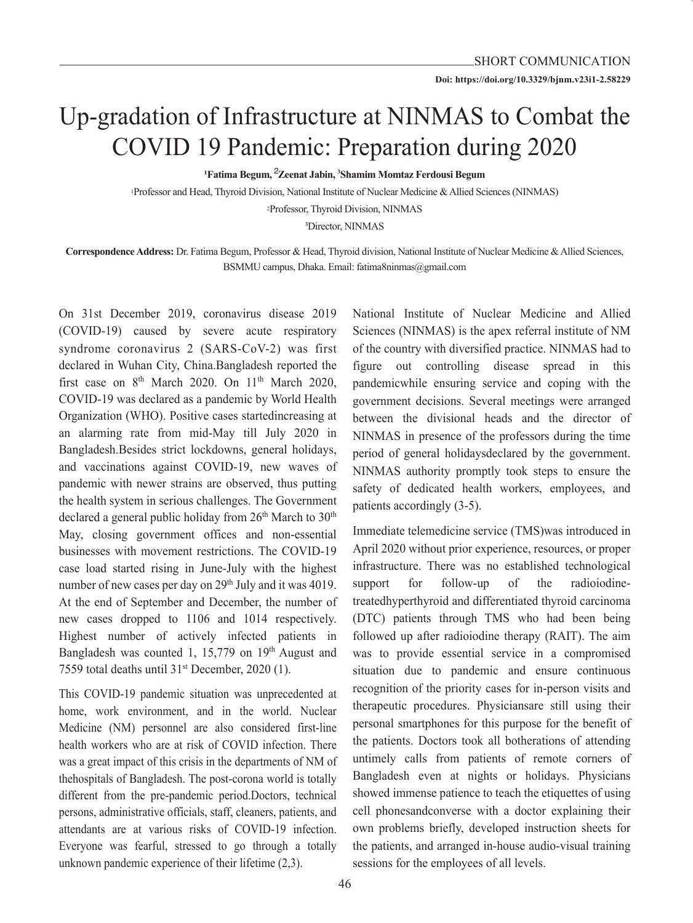# Up-gradation of Infrastructure at NINMAS to Combat the COVID 19 Pandemic: Preparation during 2020

**<sup>1</sup>Fatima Begum,** <sup>2</sup> **Zeenat Jabin, 3 Shamim Momtaz Ferdousi Begum**

1Professor and Head, Thyroid Division, National Institute of Nuclear Medicine & Allied Sciences (NINMAS) 2Professor, Thyroid Division, NINMAS

<sup>3</sup>Director, NINMAS

**Correspondence Address:** Dr. Fatima Begum, Professor & Head, Thyroid division, National Institute of Nuclear Medicine & Allied Sciences, BSMMU campus, Dhaka. Email: fatima8ninmas@gmail.com

On 31st December 2019, coronavirus disease 2019 (COVID-19) caused by severe acute respiratory syndrome coronavirus 2 (SARS-CoV-2) was first declared in Wuhan City, China.Bangladesh reported the first case on  $8<sup>th</sup>$  March 2020. On 11<sup>th</sup> March 2020, COVID-19 was declared as a pandemic by World Health Organization (WHO). Positive cases startedincreasing at an alarming rate from mid-May till July 2020 in Bangladesh.Besides strict lockdowns, general holidays, and vaccinations against COVID-19, new waves of pandemic with newer strains are observed, thus putting the health system in serious challenges. The Government declared a general public holiday from  $26<sup>th</sup>$  March to  $30<sup>th</sup>$ May, closing government offices and non-essential businesses with movement restrictions. The COVID-19 case load started rising in June-July with the highest number of new cases per day on 29<sup>th</sup> July and it was 4019. At the end of September and December, the number of new cases dropped to 1106 and 1014 respectively. Highest number of actively infected patients in Bangladesh was counted 1, 15,779 on  $19<sup>th</sup>$  August and 7559 total deaths until 31<sup>st</sup> December, 2020 (1).

This COVID-19 pandemic situation was unprecedented at home, work environment, and in the world. Nuclear Medicine (NM) personnel are also considered first-line health workers who are at risk of COVID infection. There was a great impact of this crisis in the departments of NM of thehospitals of Bangladesh. The post-corona world is totally different from the pre-pandemic period.Doctors, technical persons, administrative officials, staff, cleaners, patients, and attendants are at various risks of COVID-19 infection. Everyone was fearful, stressed to go through a totally unknown pandemic experience of their lifetime (2,3).

National Institute of Nuclear Medicine and Allied Sciences (NINMAS) is the apex referral institute of NM of the country with diversified practice. NINMAS had to figure out controlling disease spread in this pandemicwhile ensuring service and coping with the government decisions. Several meetings were arranged between the divisional heads and the director of NINMAS in presence of the professors during the time period of general holidaysdeclared by the government. NINMAS authority promptly took steps to ensure the safety of dedicated health workers, employees, and patients accordingly (3-5).

Immediate telemedicine service (TMS)was introduced in April 2020 without prior experience, resources, or proper infrastructure. There was no established technological support for follow-up of the radioiodinetreatedhyperthyroid and differentiated thyroid carcinoma (DTC) patients through TMS who had been being followed up after radioiodine therapy (RAIT). The aim was to provide essential service in a compromised situation due to pandemic and ensure continuous recognition of the priority cases for in-person visits and therapeutic procedures. Physiciansare still using their personal smartphones for this purpose for the benefit of the patients. Doctors took all botherations of attending untimely calls from patients of remote corners of Bangladesh even at nights or holidays. Physicians showed immense patience to teach the etiquettes of using cell phonesandconverse with a doctor explaining their own problems briefly, developed instruction sheets for the patients, and arranged in-house audio-visual training sessions for the employees of all levels.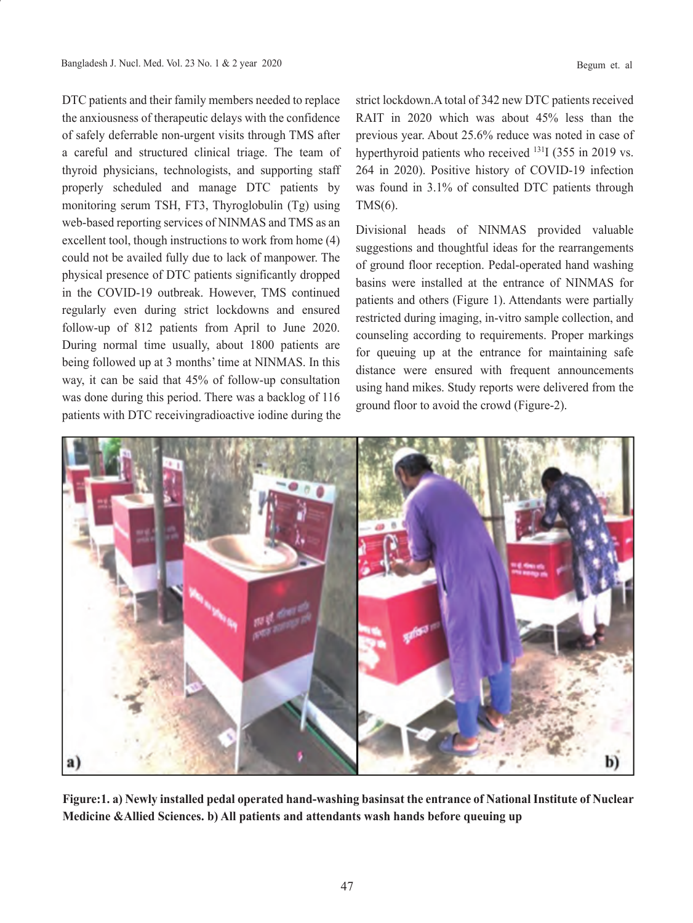DTC patients and their family members needed to replace the anxiousness of therapeutic delays with the confidence of safely deferrable non-urgent visits through TMS after a careful and structured clinical triage. The team of thyroid physicians, technologists, and supporting staff properly scheduled and manage DTC patients by monitoring serum TSH, FT3, Thyroglobulin (Tg) using web-based reporting services of NINMAS and TMS as an excellent tool, though instructions to work from home (4) could not be availed fully due to lack of manpower. The physical presence of DTC patients significantly dropped in the COVID-19 outbreak. However, TMS continued regularly even during strict lockdowns and ensured follow-up of 812 patients from April to June 2020. During normal time usually, about 1800 patients are being followed up at 3 months' time at NINMAS. In this way, it can be said that 45% of follow-up consultation

was done during this period. There was a backlog of 116

strict lockdown.A total of 342 new DTC patients received RAIT in 2020 which was about 45% less than the previous year. About 25.6% reduce was noted in case of hyperthyroid patients who received <sup>131</sup>I (355 in 2019 vs. 264 in 2020). Positive history of COVID-19 infection was found in 3.1% of consulted DTC patients through TMS(6).

Divisional heads of NINMAS provided valuable suggestions and thoughtful ideas for the rearrangements of ground floor reception. Pedal-operated hand washing basins were installed at the entrance of NINMAS for patients and others (Figure 1). Attendants were partially restricted during imaging, in-vitro sample collection, and counseling according to requirements. Proper markings for queuing up at the entrance for maintaining safe distance were ensured with frequent announcements using hand mikes. Study reports were delivered from the ground floor to avoid the crowd (Figure-2).



**Figure:1. a) Newly installed pedal operated hand-washing basinsat the entrance of National Institute of Nuclear Medicine &Allied Sciences. b) All patients and attendants wash hands before queuing up**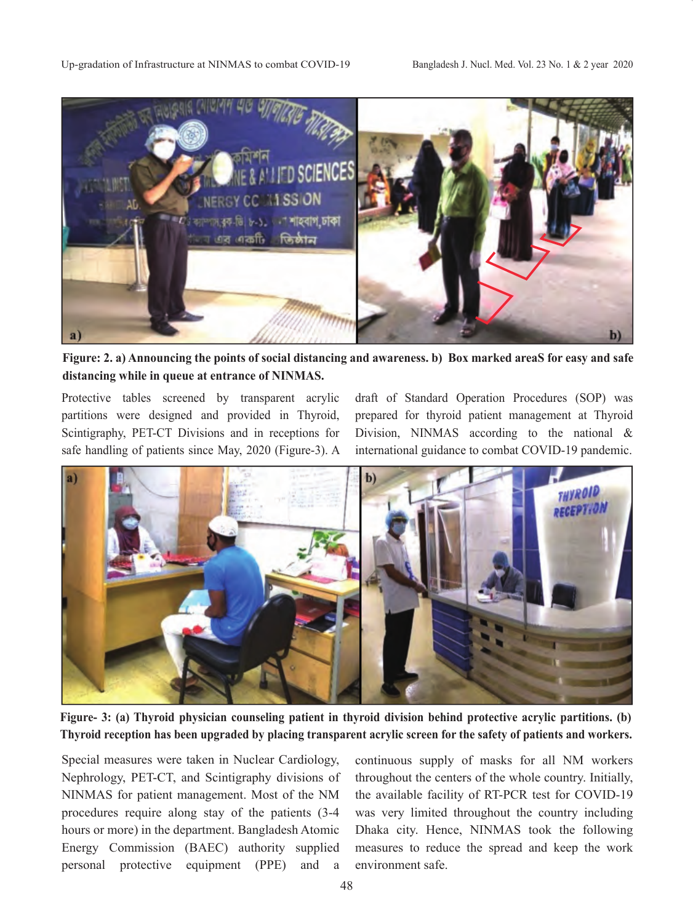

**Figure: 2. a) Announcing the points of social distancing and awareness. b) Box marked areaS for easy and safe distancing while in queue at entrance of NINMAS.**

Protective tables screened by transparent acrylic partitions were designed and provided in Thyroid, Scintigraphy, PET-CT Divisions and in receptions for safe handling of patients since May, 2020 (Figure-3). A draft of Standard Operation Procedures (SOP) was prepared for thyroid patient management at Thyroid Division, NINMAS according to the national & international guidance to combat COVID-19 pandemic.



**Figure- 3: (a) Thyroid physician counseling patient in thyroid division behind protective acrylic partitions. (b) Thyroid reception has been upgraded by placing transparent acrylic screen for the safety of patients and workers.**

Special measures were taken in Nuclear Cardiology, Nephrology, PET-CT, and Scintigraphy divisions of NINMAS for patient management. Most of the NM procedures require along stay of the patients (3-4 hours or more) in the department. Bangladesh Atomic Energy Commission (BAEC) authority supplied personal protective equipment (PPE) and a

continuous supply of masks for all NM workers throughout the centers of the whole country. Initially, the available facility of RT-PCR test for COVID-19 was very limited throughout the country including Dhaka city. Hence, NINMAS took the following measures to reduce the spread and keep the work environment safe.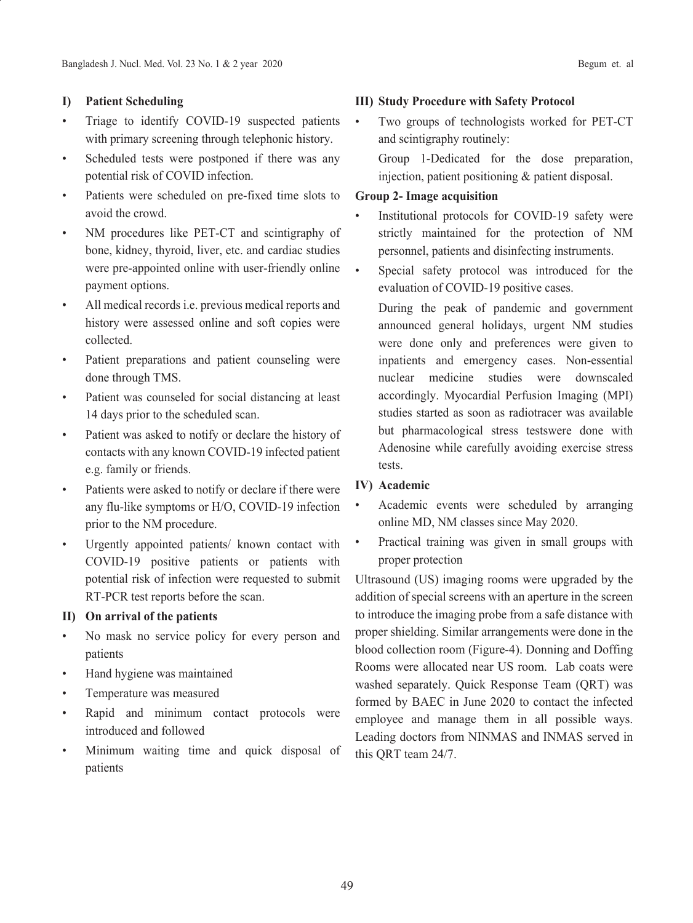## **I) Patient Scheduling**

- Triage to identify COVID-19 suspected patients with primary screening through telephonic history.
- Scheduled tests were postponed if there was any potential risk of COVID infection.
- Patients were scheduled on pre-fixed time slots to avoid the crowd.
- NM procedures like PET-CT and scintigraphy of bone, kidney, thyroid, liver, etc. and cardiac studies were pre-appointed online with user-friendly online payment options.
- All medical records i.e. previous medical reports and history were assessed online and soft copies were collected.
- Patient preparations and patient counseling were done through TMS.
- Patient was counseled for social distancing at least 14 days prior to the scheduled scan.
- Patient was asked to notify or declare the history of contacts with any known COVID-19 infected patient e.g. family or friends.
- Patients were asked to notify or declare if there were any flu-like symptoms or H/O, COVID-19 infection prior to the NM procedure.
- Urgently appointed patients/ known contact with COVID-19 positive patients or patients with potential risk of infection were requested to submit RT-PCR test reports before the scan.

## **II) On arrival of the patients**

- No mask no service policy for every person and patients
- Hand hygiene was maintained
- Temperature was measured
- Rapid and minimum contact protocols were introduced and followed
- Minimum waiting time and quick disposal of patients

## **III) Study Procedure with Safety Protocol**

Two groups of technologists worked for PET-CT and scintigraphy routinely:

 Group 1-Dedicated for the dose preparation, injection, patient positioning & patient disposal.

## **Group 2- Image acquisition**

- Institutional protocols for COVID-19 safety were strictly maintained for the protection of NM personnel, patients and disinfecting instruments.
- Special safety protocol was introduced for the evaluation of COVID-19 positive cases.

 During the peak of pandemic and government announced general holidays, urgent NM studies were done only and preferences were given to inpatients and emergency cases. Non-essential nuclear medicine studies were downscaled accordingly. Myocardial Perfusion Imaging (MPI) studies started as soon as radiotracer was available but pharmacological stress testswere done with Adenosine while carefully avoiding exercise stress tests.

## **IV) Academic**

- Academic events were scheduled by arranging online MD, NM classes since May 2020.
- Practical training was given in small groups with proper protection

Ultrasound (US) imaging rooms were upgraded by the addition of special screens with an aperture in the screen to introduce the imaging probe from a safe distance with proper shielding. Similar arrangements were done in the blood collection room (Figure-4). Donning and Doffing Rooms were allocated near US room. Lab coats were washed separately. Quick Response Team (QRT) was formed by BAEC in June 2020 to contact the infected employee and manage them in all possible ways. Leading doctors from NINMAS and INMAS served in this QRT team 24/7.